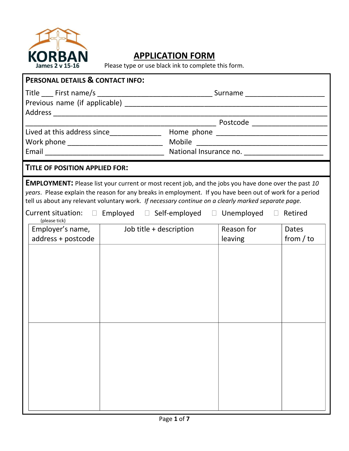

## **APPLICATION FORM**

Please type or use black ink to complete this form.

| <b>PERSONAL DETAILS &amp; CONTACT INFO:</b>                                                                                                                                                                                                                                                                                                                                                                                                 |                         |                                                |                       |                             |  |  |
|---------------------------------------------------------------------------------------------------------------------------------------------------------------------------------------------------------------------------------------------------------------------------------------------------------------------------------------------------------------------------------------------------------------------------------------------|-------------------------|------------------------------------------------|-----------------------|-----------------------------|--|--|
|                                                                                                                                                                                                                                                                                                                                                                                                                                             |                         |                                                |                       |                             |  |  |
|                                                                                                                                                                                                                                                                                                                                                                                                                                             |                         |                                                |                       |                             |  |  |
|                                                                                                                                                                                                                                                                                                                                                                                                                                             |                         |                                                |                       |                             |  |  |
| Work phone ______________________________                                                                                                                                                                                                                                                                                                                                                                                                   |                         |                                                |                       |                             |  |  |
|                                                                                                                                                                                                                                                                                                                                                                                                                                             |                         | National Insurance no. _______________________ |                       |                             |  |  |
| TITLE OF POSITION APPLIED FOR:                                                                                                                                                                                                                                                                                                                                                                                                              |                         |                                                |                       |                             |  |  |
| <b>EMPLOYMENT:</b> Please list your current or most recent job, and the jobs you have done over the past 10<br>years. Please explain the reason for any breaks in employment. If you have been out of work for a period<br>tell us about any relevant voluntary work. If necessary continue on a clearly marked separate page.<br>Current situation: $\Box$ Employed $\Box$ Self-employed $\Box$ Unemployed $\Box$ Retired<br>(please tick) |                         |                                                |                       |                             |  |  |
| Employer's name, $\vert$<br>address + postcode                                                                                                                                                                                                                                                                                                                                                                                              | Job title + description |                                                | Reason for<br>leaving | <b>Dates</b><br>from $/$ to |  |  |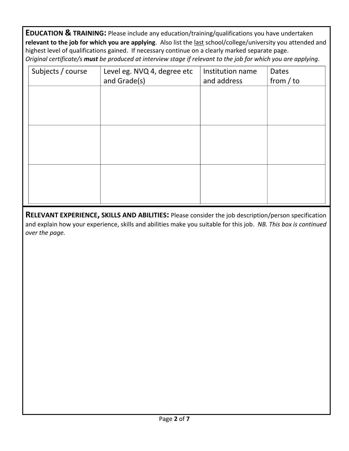**EDUCATION & TRAINING:** Please include any education/training/qualifications you have undertaken **relevant to the job for which you are applying**. Also list the last school/college/university you attended and highest level of qualifications gained. If necessary continue on a clearly marked separate page. *Original certificate/s must be produced at interview stage if relevant to the job for which you are applying.*

| Subjects / course | Level eg. NVQ 4, degree etc<br>and Grade(s) | Institution name<br>and address | Dates<br>from $/$ to |
|-------------------|---------------------------------------------|---------------------------------|----------------------|
|                   |                                             |                                 |                      |
|                   |                                             |                                 |                      |
|                   |                                             |                                 |                      |
|                   |                                             |                                 |                      |
|                   |                                             |                                 |                      |
|                   |                                             |                                 |                      |

**RELEVANT EXPERIENCE, SKILLS AND ABILITIES:** Please consider the job description/person specification and explain how your experience, skills and abilities make you suitable for this job. *NB. This box is continued over the page.*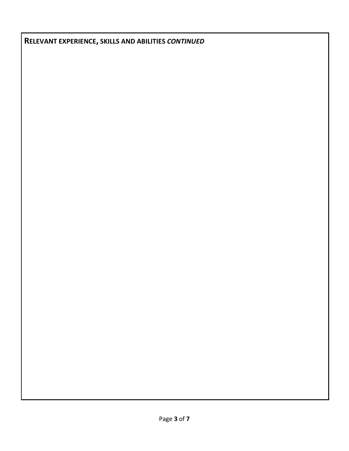**RELEVANT EXPERIENCE, SKILLS AND ABILITIES** *CONTINUED*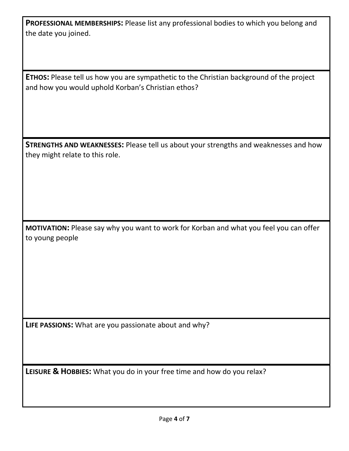**PROFESSIONAL MEMBERSHIPS:** Please list any professional bodies to which you belong and the date you joined.

**ETHOS:** Please tell us how you are sympathetic to the Christian background of the project and how you would uphold Korban's Christian ethos?

**STRENGTHS AND WEAKNESSES:** Please tell us about your strengths and weaknesses and how they might relate to this role.

**MOTIVATION:** Please say why you want to work for Korban and what you feel you can offer to young people

**LIFE PASSIONS:** What are you passionate about and why?

**LEISURE & HOBBIES:** What you do in your free time and how do you relax?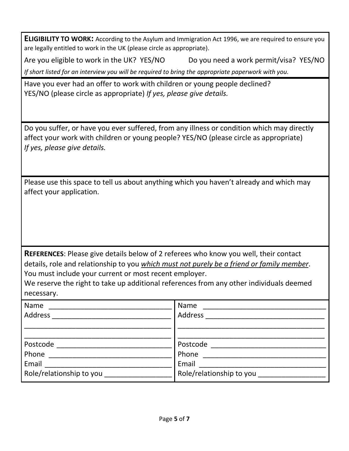**ELIGIBILITY TO WORK:** According to the Asylum and Immigration Act 1996, we are required to ensure you are legally entitled to work in the UK (please circle as appropriate).

Are you eligible to work in the UK? YES/NO Do you need a work permit/visa? YES/NO *If short listed for an interview you will be required to bring the appropriate paperwork with you.*

Have you ever had an offer to work with children or young people declined? YES/NO (please circle as appropriate) *If yes, please give details.*

Do you suffer, or have you ever suffered, from any illness or condition which may directly affect your work with children or young people? YES/NO (please circle as appropriate) *If yes, please give details.*

Please use this space to tell us about anything which you haven't already and which may affect your application.

**REFERENCES**: Please give details below of 2 referees who know you well, their contact details, role and relationship to you *which must not purely be a friend or family member*. You must include your current or most recent employer.

We reserve the right to take up additional references from any other individuals deemed necessary.

| Name                     | Name                     |
|--------------------------|--------------------------|
| Address                  | Address                  |
|                          |                          |
|                          |                          |
| Postcode                 | Postcode                 |
| Phone                    | Phone                    |
| Email                    | Email                    |
| Role/relationship to you | Role/relationship to you |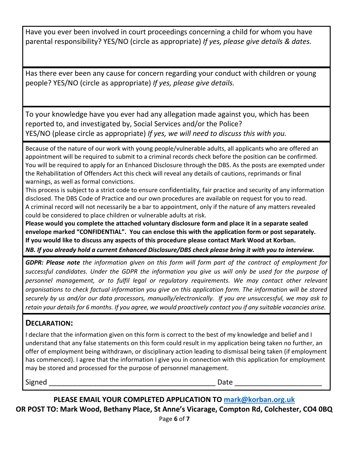Have you ever been involved in court proceedings concerning a child for whom you have parental responsibility? YES/NO (circle as appropriate) *If yes, please give details & dates.*

Has there ever been any cause for concern regarding your conduct with children or young people? YES/NO (circle as appropriate) *If yes, please give details.*

To your knowledge have you ever had any allegation made against you, which has been reported to, and investigated by, Social Services and/or the Police? YES/NO (please circle as appropriate) *If yes, we will need to discuss this with you.*

Because of the nature of our work with young people/vulnerable adults, all applicants who are offered an appointment will be required to submit to a criminal records check before the position can be confirmed. You will be required to apply for an Enhanced Disclosure through the DBS. As the posts are exempted under the Rehabilitation of Offenders Act this check will reveal any details of cautions, reprimands or final warnings, as well as formal convictions.

This process is subject to a strict code to ensure confidentiality, fair practice and security of any information disclosed. The DBS Code of Practice and our own procedures are available on request for you to read. A criminal record will not necessarily be a bar to appointment, only if the nature of any matters revealed could be considered to place children or vulnerable adults at risk.

**Please would you complete the attached voluntary disclosure form and place it in a separate sealed envelope marked "CONFIDENTIAL". You can enclose this with the application form or post separately. If you would like to discuss any aspects of this procedure please contact Mark Wood at Korban.** 

*NB. If you already hold a current Enhanced Disclosure/DBS check please bring it with you to interview.*

*GDPR: Please note the information given on this form will form part of the contract of employment for successful candidates. Under the GDPR the information you give us will only be used for the purpose of*  personnel management, or to fulfil legal or regulatory requirements. We may contact other relevant *organisations to check factual information you give on this application form. The information will be stored securely by us and/or our data processors, manually/electronically. If you are unsuccessful, we may ask to retain your details for 6 months. If you agree, we would proactively contact you if any suitable vacancies arise.*

## **DECLARATION:**

I declare that the information given on this form is correct to the best of my knowledge and belief and I understand that any false statements on this form could result in my application being taken no further, an offer of employment being withdrawn, or disciplinary action leading to dismissal being taken (if employment has commenced). I agree that the information I give you in connection with this application for employment may be stored and processed for the purpose of personnel management.

Signed \_\_\_\_\_\_\_\_\_\_\_\_\_\_\_\_\_\_\_\_\_\_\_\_\_\_\_\_\_\_\_\_\_\_\_\_\_\_\_\_\_\_ Date \_\_\_\_\_\_\_\_\_\_\_\_\_\_\_\_\_\_\_\_\_\_

**PLEASE EMAIL YOUR COMPLETED APPLICATION TO [mark@korban.org.uk](mailto:mark@korban.org.uk) OR POST TO: Mark Wood, Bethany Place, St Anne's Vicarage, Compton Rd, Colchester, CO4 0BQ**